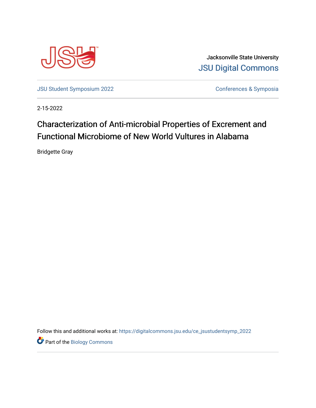

Jacksonville State University **JSU Digital Commons** 

**JSU Student Symposium 2022** 

Conferences & Symposia

2-15-2022

## Characterization of Anti-microbial Properties of Excrement and Functional Microbiome of New World Vultures in Alabama

**Bridgette Gray** 

Follow this and additional works at: https://digitalcommons.jsu.edu/ce\_jsustudentsymp\_2022

Part of the Biology Commons